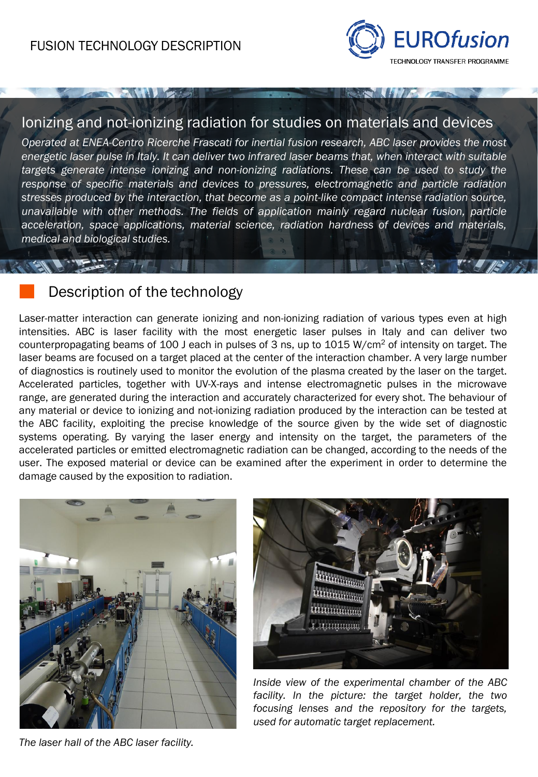

#### Ionizing and not-ionizing radiation for studies on materials and devices

*Operated at ENEA-Centro Ricerche Frascati for inertial fusion research, ABC laser provides the most energetic laser pulse in Italy. It can deliver two infrared laser beams that, when interact with suitable targets generate intense ionizing and non-ionizing radiations. These can be used to study the response of specific materials and devices to pressures, electromagnetic and particle radiation stresses produced by the interaction, that become as a point-like compact intense radiation source, unavailable with other methods. The fields of application mainly regard nuclear fusion, particle acceleration, space applications, material science, radiation hardness of devices and materials, medical and biological studies.*

## Description of the technology

 $H$ 

Laser-matter interaction can generate ionizing and non-ionizing radiation of various types even at high intensities. ABC is laser facility with the most energetic laser pulses in Italy and can deliver two counterpropagating beams of 100 J each in pulses of 3 ns, up to 1015 W/cm<sup>2</sup> of intensity on target. The laser beams are focused on a target placed at the center of the interaction chamber. A very large number of diagnostics is routinely used to monitor the evolution of the plasma created by the laser on the target. Accelerated particles, together with UV-X-rays and intense electromagnetic pulses in the microwave range, are generated during the interaction and accurately characterized for every shot. The behaviour of any material or device to ionizing and not-ionizing radiation produced by the interaction can be tested at the ABC facility, exploiting the precise knowledge of the source given by the wide set of diagnostic systems operating. By varying the laser energy and intensity on the target, the parameters of the accelerated particles or emitted electromagnetic radiation can be changed, according to the needs of the user. The exposed material or device can be examined after the experiment in order to determine the damage caused by the exposition to radiation.





*Inside view of the experimental chamber of the ABC facility. In the picture: the target holder, the two focusing lenses and the repository for the targets, used for automatic target replacement.*

*The laser hall of the ABC laser facility.*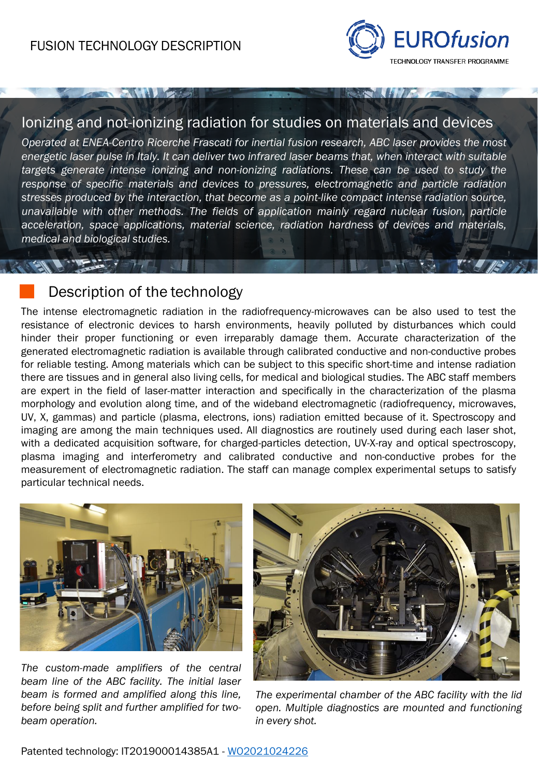**ANAL EXERCIT** 



#### Ionizing and not-ionizing radiation for studies on materials and devices

*Operated at ENEA-Centro Ricerche Frascati for inertial fusion research, ABC laser provides the most energetic laser pulse in Italy. It can deliver two infrared laser beams that, when interact with suitable targets generate intense ionizing and non-ionizing radiations. These can be used to study the response of specific materials and devices to pressures, electromagnetic and particle radiation stresses produced by the interaction, that become as a point-like compact intense radiation source, unavailable with other methods. The fields of application mainly regard nuclear fusion, particle acceleration, space applications, material science, radiation hardness of devices and materials, medical and biological studies.*

## Description of the technology

 $\mathcal{L}$  ,  $\mathcal{L}$  ,  $\mathcal{L}$  ,  $\mathcal{L}$  ,  $\mathcal{L}$  ,  $\mathcal{L}$  ,  $\mathcal{L}$  ,  $\mathcal{L}$  ,  $\mathcal{L}$  ,  $\mathcal{L}$  ,  $\mathcal{L}$  ,  $\mathcal{L}$  ,  $\mathcal{L}$  ,  $\mathcal{L}$  ,  $\mathcal{L}$  ,  $\mathcal{L}$  ,  $\mathcal{L}$  ,  $\mathcal{L}$  ,  $\mathcal{L}$  ,  $\mathcal{L}$  ,

The intense electromagnetic radiation in the radiofrequency-microwaves can be also used to test the resistance of electronic devices to harsh environments, heavily polluted by disturbances which could hinder their proper functioning or even irreparably damage them. Accurate characterization of the generated electromagnetic radiation is available through calibrated conductive and non-conductive probes for reliable testing. Among materials which can be subject to this specific short-time and intense radiation there are tissues and in general also living cells, for medical and biological studies. The ABC staff members are expert in the field of laser-matter interaction and specifically in the characterization of the plasma morphology and evolution along time, and of the wideband electromagnetic (radiofrequency, microwaves, UV, X, gammas) and particle (plasma, electrons, ions) radiation emitted because of it. Spectroscopy and imaging are among the main techniques used. All diagnostics are routinely used during each laser shot, with a dedicated acquisition software, for charged-particles detection, UV-X-ray and optical spectroscopy, plasma imaging and interferometry and calibrated conductive and non-conductive probes for the measurement of electromagnetic radiation. The staff can manage complex experimental setups to satisfy particular technical needs.



*The custom-made amplifiers of the central beam line of the ABC facility. The initial laser beam is formed and amplified along this line, before being split and further amplified for twobeam operation.*



*The experimental chamber of the ABC facility with the lid open. Multiple diagnostics are mounted and functioning in every shot.*